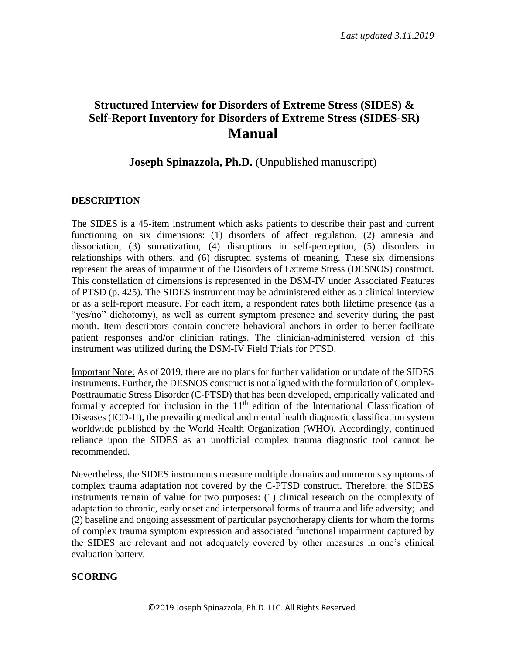# **Structured Interview for Disorders of Extreme Stress (SIDES) & Self-Report Inventory for Disorders of Extreme Stress (SIDES-SR) Manual**

### **Joseph Spinazzola, Ph.D.** (Unpublished manuscript)

### **DESCRIPTION**

The SIDES is a 45-item instrument which asks patients to describe their past and current functioning on six dimensions: (1) disorders of affect regulation, (2) amnesia and dissociation, (3) somatization, (4) disruptions in self-perception, (5) disorders in relationships with others, and (6) disrupted systems of meaning. These six dimensions represent the areas of impairment of the Disorders of Extreme Stress (DESNOS) construct. This constellation of dimensions is represented in the DSM-IV under Associated Features of PTSD (p. 425). The SIDES instrument may be administered either as a clinical interview or as a self-report measure. For each item, a respondent rates both lifetime presence (as a "yes/no" dichotomy), as well as current symptom presence and severity during the past month. Item descriptors contain concrete behavioral anchors in order to better facilitate patient responses and/or clinician ratings. The clinician-administered version of this instrument was utilized during the DSM-IV Field Trials for PTSD.

Important Note: As of 2019, there are no plans for further validation or update of the SIDES instruments. Further, the DESNOS construct is not aligned with the formulation of Complex-Posttraumatic Stress Disorder (C-PTSD) that has been developed, empirically validated and formally accepted for inclusion in the 11<sup>th</sup> edition of the International Classification of Diseases (ICD-II), the prevailing medical and mental health diagnostic classification system worldwide published by the World Health Organization (WHO). Accordingly, continued reliance upon the SIDES as an unofficial complex trauma diagnostic tool cannot be recommended.

Nevertheless, the SIDES instruments measure multiple domains and numerous symptoms of complex trauma adaptation not covered by the C-PTSD construct. Therefore, the SIDES instruments remain of value for two purposes: (1) clinical research on the complexity of adaptation to chronic, early onset and interpersonal forms of trauma and life adversity; and (2) baseline and ongoing assessment of particular psychotherapy clients for whom the forms of complex trauma symptom expression and associated functional impairment captured by the SIDES are relevant and not adequately covered by other measures in one's clinical evaluation battery.

### **SCORING**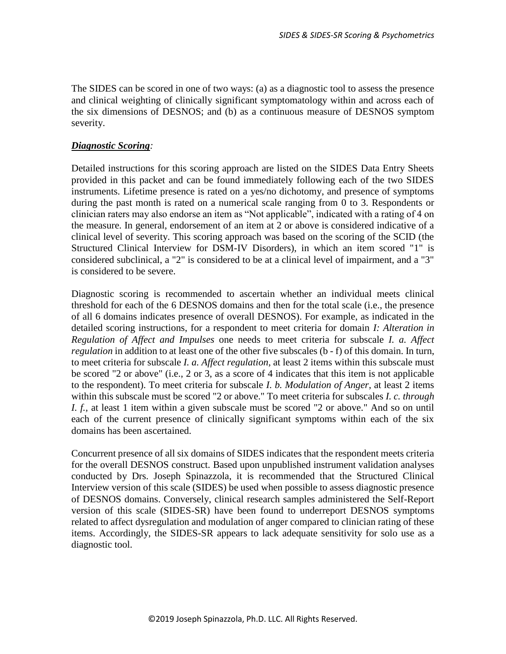The SIDES can be scored in one of two ways: (a) as a diagnostic tool to assess the presence and clinical weighting of clinically significant symptomatology within and across each of the six dimensions of DESNOS; and (b) as a continuous measure of DESNOS symptom severity.

### *Diagnostic Scoring:*

Detailed instructions for this scoring approach are listed on the SIDES Data Entry Sheets provided in this packet and can be found immediately following each of the two SIDES instruments. Lifetime presence is rated on a yes/no dichotomy, and presence of symptoms during the past month is rated on a numerical scale ranging from 0 to 3. Respondents or clinician raters may also endorse an item as "Not applicable", indicated with a rating of 4 on the measure. In general, endorsement of an item at 2 or above is considered indicative of a clinical level of severity. This scoring approach was based on the scoring of the SCID (the Structured Clinical Interview for DSM-IV Disorders), in which an item scored "1" is considered subclinical, a "2" is considered to be at a clinical level of impairment, and a "3" is considered to be severe.

Diagnostic scoring is recommended to ascertain whether an individual meets clinical threshold for each of the 6 DESNOS domains and then for the total scale (i.e., the presence of all 6 domains indicates presence of overall DESNOS). For example, as indicated in the detailed scoring instructions, for a respondent to meet criteria for domain *I: Alteration in Regulation of Affect and Impulses* one needs to meet criteria for subscale *I. a. Affect regulation* in addition to at least one of the other five subscales (b - f) of this domain. In turn, to meet criteria for subscale *I. a. Affect regulation*, at least 2 items within this subscale must be scored "2 or above" (i.e., 2 or 3, as a score of 4 indicates that this item is not applicable to the respondent). To meet criteria for subscale *I. b. Modulation of Anger*, at least 2 items within this subscale must be scored "2 or above." To meet criteria for subscales *I. c. through I. f.*, at least 1 item within a given subscale must be scored "2 or above." And so on until each of the current presence of clinically significant symptoms within each of the six domains has been ascertained.

Concurrent presence of all six domains of SIDES indicates that the respondent meets criteria for the overall DESNOS construct. Based upon unpublished instrument validation analyses conducted by Drs. Joseph Spinazzola, it is recommended that the Structured Clinical Interview version of this scale (SIDES) be used when possible to assess diagnostic presence of DESNOS domains. Conversely, clinical research samples administered the Self-Report version of this scale (SIDES-SR) have been found to underreport DESNOS symptoms related to affect dysregulation and modulation of anger compared to clinician rating of these items. Accordingly, the SIDES-SR appears to lack adequate sensitivity for solo use as a diagnostic tool.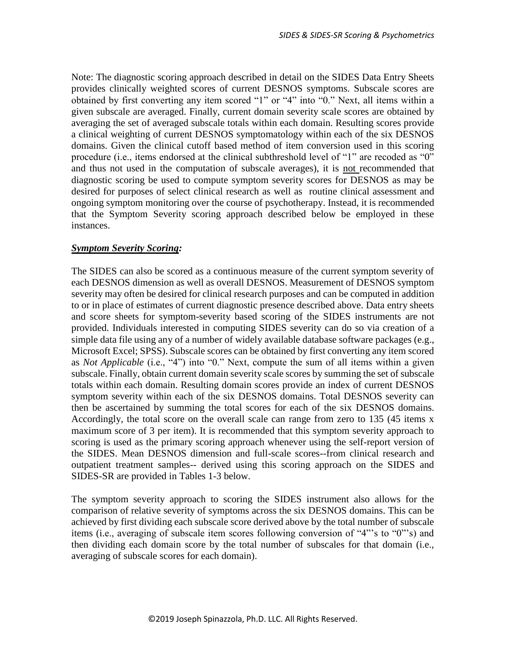Note: The diagnostic scoring approach described in detail on the SIDES Data Entry Sheets provides clinically weighted scores of current DESNOS symptoms. Subscale scores are obtained by first converting any item scored "1" or "4" into "0." Next, all items within a given subscale are averaged. Finally, current domain severity scale scores are obtained by averaging the set of averaged subscale totals within each domain. Resulting scores provide a clinical weighting of current DESNOS symptomatology within each of the six DESNOS domains. Given the clinical cutoff based method of item conversion used in this scoring procedure (i.e., items endorsed at the clinical subthreshold level of "1" are recoded as "0" and thus not used in the computation of subscale averages), it is not recommended that diagnostic scoring be used to compute symptom severity scores for DESNOS as may be desired for purposes of select clinical research as well as routine clinical assessment and ongoing symptom monitoring over the course of psychotherapy. Instead, it is recommended that the Symptom Severity scoring approach described below be employed in these instances.

### *Symptom Severity Scoring:*

The SIDES can also be scored as a continuous measure of the current symptom severity of each DESNOS dimension as well as overall DESNOS. Measurement of DESNOS symptom severity may often be desired for clinical research purposes and can be computed in addition to or in place of estimates of current diagnostic presence described above. Data entry sheets and score sheets for symptom-severity based scoring of the SIDES instruments are not provided. Individuals interested in computing SIDES severity can do so via creation of a simple data file using any of a number of widely available database software packages (e.g., Microsoft Excel; SPSS). Subscale scores can be obtained by first converting any item scored as *Not Applicable* (i.e., "4") into "0." Next, compute the sum of all items within a given subscale. Finally, obtain current domain severity scale scores by summing the set of subscale totals within each domain. Resulting domain scores provide an index of current DESNOS symptom severity within each of the six DESNOS domains. Total DESNOS severity can then be ascertained by summing the total scores for each of the six DESNOS domains. Accordingly, the total score on the overall scale can range from zero to 135 (45 items x maximum score of 3 per item). It is recommended that this symptom severity approach to scoring is used as the primary scoring approach whenever using the self-report version of the SIDES. Mean DESNOS dimension and full-scale scores--from clinical research and outpatient treatment samples-- derived using this scoring approach on the SIDES and SIDES-SR are provided in Tables 1-3 below.

The symptom severity approach to scoring the SIDES instrument also allows for the comparison of relative severity of symptoms across the six DESNOS domains. This can be achieved by first dividing each subscale score derived above by the total number of subscale items (i.e., averaging of subscale item scores following conversion of "4"'s to "0"'s) and then dividing each domain score by the total number of subscales for that domain (i.e., averaging of subscale scores for each domain).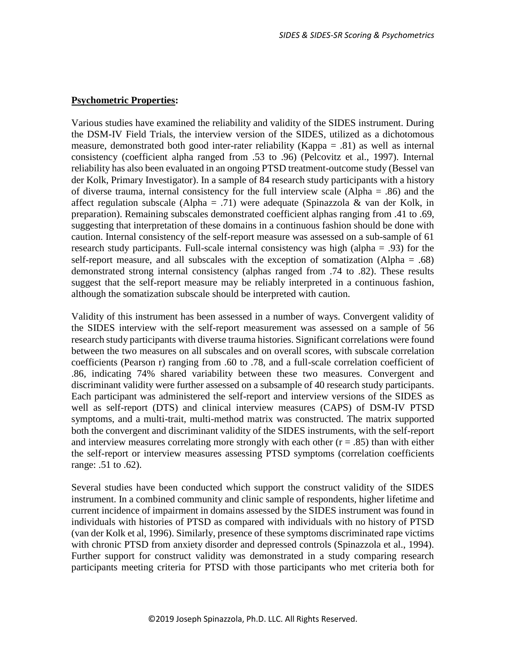#### **Psychometric Properties:**

Various studies have examined the reliability and validity of the SIDES instrument. During the DSM-IV Field Trials, the interview version of the SIDES, utilized as a dichotomous measure, demonstrated both good inter-rater reliability (Kappa = .81) as well as internal consistency (coefficient alpha ranged from .53 to .96) (Pelcovitz et al., 1997). Internal reliability has also been evaluated in an ongoing PTSD treatment-outcome study (Bessel van der Kolk, Primary Investigator). In a sample of 84 research study participants with a history of diverse trauma, internal consistency for the full interview scale (Alpha = .86) and the affect regulation subscale (Alpha = .71) were adequate (Spinazzola & van der Kolk, in preparation). Remaining subscales demonstrated coefficient alphas ranging from .41 to .69, suggesting that interpretation of these domains in a continuous fashion should be done with caution. Internal consistency of the self-report measure was assessed on a sub-sample of 61 research study participants. Full-scale internal consistency was high (alpha = .93) for the self-report measure, and all subscales with the exception of somatization (Alpha  $= .68$ ) demonstrated strong internal consistency (alphas ranged from .74 to .82). These results suggest that the self-report measure may be reliably interpreted in a continuous fashion, although the somatization subscale should be interpreted with caution.

Validity of this instrument has been assessed in a number of ways. Convergent validity of the SIDES interview with the self-report measurement was assessed on a sample of 56 research study participants with diverse trauma histories. Significant correlations were found between the two measures on all subscales and on overall scores, with subscale correlation coefficients (Pearson r) ranging from .60 to .78, and a full-scale correlation coefficient of .86, indicating 74% shared variability between these two measures. Convergent and discriminant validity were further assessed on a subsample of 40 research study participants. Each participant was administered the self-report and interview versions of the SIDES as well as self-report (DTS) and clinical interview measures (CAPS) of DSM-IV PTSD symptoms, and a multi-trait, multi-method matrix was constructed. The matrix supported both the convergent and discriminant validity of the SIDES instruments, with the self-report and interview measures correlating more strongly with each other  $(r = .85)$  than with either the self-report or interview measures assessing PTSD symptoms (correlation coefficients range: .51 to .62).

Several studies have been conducted which support the construct validity of the SIDES instrument. In a combined community and clinic sample of respondents, higher lifetime and current incidence of impairment in domains assessed by the SIDES instrument was found in individuals with histories of PTSD as compared with individuals with no history of PTSD (van der Kolk et al, 1996). Similarly, presence of these symptoms discriminated rape victims with chronic PTSD from anxiety disorder and depressed controls (Spinazzola et al., 1994). Further support for construct validity was demonstrated in a study comparing research participants meeting criteria for PTSD with those participants who met criteria both for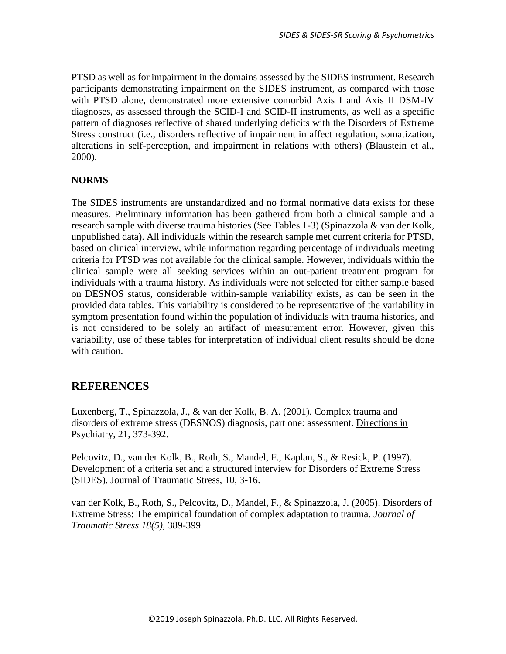PTSD as well as for impairment in the domains assessed by the SIDES instrument. Research participants demonstrating impairment on the SIDES instrument, as compared with those with PTSD alone, demonstrated more extensive comorbid Axis I and Axis II DSM-IV diagnoses, as assessed through the SCID-I and SCID-II instruments, as well as a specific pattern of diagnoses reflective of shared underlying deficits with the Disorders of Extreme Stress construct (i.e., disorders reflective of impairment in affect regulation, somatization, alterations in self-perception, and impairment in relations with others) (Blaustein et al., 2000).

### **NORMS**

The SIDES instruments are unstandardized and no formal normative data exists for these measures. Preliminary information has been gathered from both a clinical sample and a research sample with diverse trauma histories (See Tables 1-3) (Spinazzola & van der Kolk, unpublished data). All individuals within the research sample met current criteria for PTSD, based on clinical interview, while information regarding percentage of individuals meeting criteria for PTSD was not available for the clinical sample. However, individuals within the clinical sample were all seeking services within an out-patient treatment program for individuals with a trauma history. As individuals were not selected for either sample based on DESNOS status, considerable within-sample variability exists, as can be seen in the provided data tables. This variability is considered to be representative of the variability in symptom presentation found within the population of individuals with trauma histories, and is not considered to be solely an artifact of measurement error. However, given this variability, use of these tables for interpretation of individual client results should be done with caution.

### **REFERENCES**

Luxenberg, T., Spinazzola, J., & van der Kolk, B. A. (2001). Complex trauma and disorders of extreme stress (DESNOS) diagnosis, part one: assessment. Directions in Psychiatry, 21, 373-392.

Pelcovitz, D., van der Kolk, B., Roth, S., Mandel, F., Kaplan, S., & Resick, P. (1997). Development of a criteria set and a structured interview for Disorders of Extreme Stress (SIDES). Journal of Traumatic Stress, 10, 3-16.

van der Kolk, B., Roth, S., Pelcovitz, D., Mandel, F., & Spinazzola, J. (2005). Disorders of Extreme Stress: The empirical foundation of complex adaptation to trauma. *Journal of Traumatic Stress 18(5),* 389-399.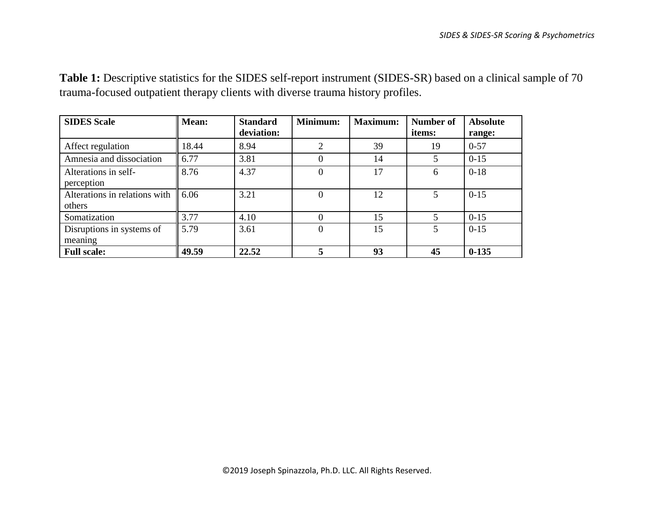**Table 1:** Descriptive statistics for the SIDES self-report instrument (SIDES-SR) based on a clinical sample of 70 trauma-focused outpatient therapy clients with diverse trauma history profiles.

| <b>SIDES</b> Scale                      | <b>Mean:</b>     | <b>Standard</b><br>deviation: | Minimum: | <b>Maximum:</b> | Number of<br>items: | <b>Absolute</b><br>range: |
|-----------------------------------------|------------------|-------------------------------|----------|-----------------|---------------------|---------------------------|
| Affect regulation                       | 18.44            | 8.94                          | 2        | 39              | 19                  | $0 - 57$                  |
| Amnesia and dissociation                | 6.77             | 3.81                          | 0        | 14              |                     | $0 - 15$                  |
| Alterations in self-<br>perception      | 8.76             | 4.37                          | 0        | 17              | 6                   | $0 - 18$                  |
| Alterations in relations with<br>others | $\parallel$ 6.06 | 3.21                          | 0        | 12              | $\mathfrak{S}$      | $0 - 15$                  |
| Somatization                            | 3.77             | 4.10                          | 0        | 15              |                     | $0 - 15$                  |
| Disruptions in systems of<br>meaning    | 5.79             | 3.61                          | 0        | 15              | 5                   | $0 - 15$                  |
| <b>Full scale:</b>                      | 49.59            | 22.52                         |          | 93              | 45                  | $0-135$                   |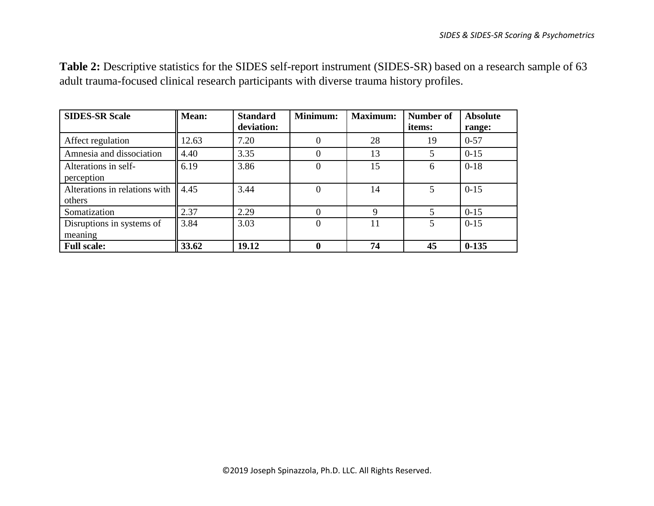**Table 2:** Descriptive statistics for the SIDES self-report instrument (SIDES-SR) based on a research sample of 63 adult trauma-focused clinical research participants with diverse trauma history profiles.

| <b>SIDES-SR Scale</b>                   | Mean: | <b>Standard</b><br>deviation: | Minimum: | <b>Maximum:</b> | Number of<br>items: | <b>Absolute</b><br>range: |
|-----------------------------------------|-------|-------------------------------|----------|-----------------|---------------------|---------------------------|
| Affect regulation                       | 12.63 | 7.20                          | 0        | 28              | 19                  | $0 - 57$                  |
| Amnesia and dissociation                | 4.40  | 3.35                          | $\Omega$ | 13              |                     | $0 - 15$                  |
| Alterations in self-<br>perception      | 6.19  | 3.86                          | $\theta$ | 15              | 6                   | $0-18$                    |
| Alterations in relations with<br>others | 4.45  | 3.44                          | $\Omega$ | 14              | 5                   | $0 - 15$                  |
| Somatization                            | 2.37  | 2.29                          | $\Omega$ | 9               |                     | $0 - 15$                  |
| Disruptions in systems of<br>meaning    | 3.84  | 3.03                          | $\Omega$ | 11              | 5                   | $0 - 15$                  |
| <b>Full scale:</b>                      | 33.62 | 19.12                         | $\bf{0}$ | 74              | 45                  | $0-135$                   |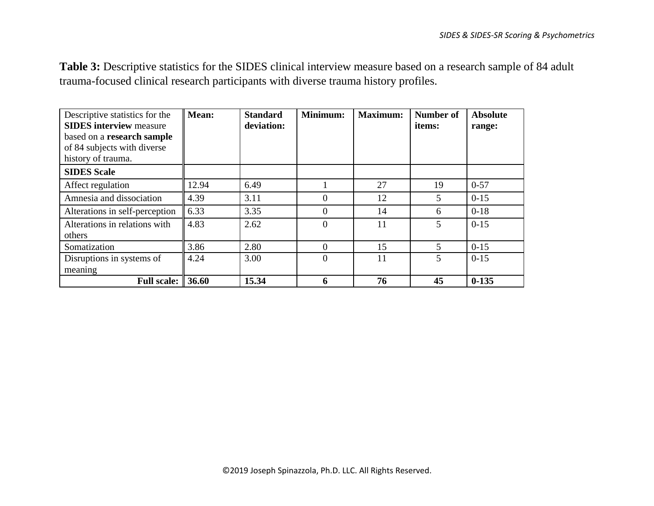**Table 3:** Descriptive statistics for the SIDES clinical interview measure based on a research sample of 84 adult trauma-focused clinical research participants with diverse trauma history profiles.

| Descriptive statistics for the<br><b>SIDES</b> interview measure<br>based on a research sample<br>of 84 subjects with diverse<br>history of trauma. | Mean: | <b>Standard</b><br>deviation: | Minimum: | <b>Maximum:</b> | <b>Number of</b><br>items: | <b>Absolute</b><br>range: |
|-----------------------------------------------------------------------------------------------------------------------------------------------------|-------|-------------------------------|----------|-----------------|----------------------------|---------------------------|
| <b>SIDES Scale</b>                                                                                                                                  |       |                               |          |                 |                            |                           |
| Affect regulation                                                                                                                                   | 12.94 | 6.49                          |          | 27              | 19                         | $0 - 57$                  |
| Amnesia and dissociation                                                                                                                            | 4.39  | 3.11                          | $\Omega$ | 12              | 5                          | $0 - 15$                  |
| Alterations in self-perception                                                                                                                      | 6.33  | 3.35                          | $\theta$ | 14              | 6                          | $0-18$                    |
| Alterations in relations with<br>others                                                                                                             | 4.83  | 2.62                          | $\theta$ | 11              | 5                          | $0 - 15$                  |
| Somatization                                                                                                                                        | 3.86  | 2.80                          | $\Omega$ | 15              | 5                          | $0 - 15$                  |
| Disruptions in systems of<br>meaning                                                                                                                | 4.24  | 3.00                          | $\theta$ | 11              | 5                          | $0-15$                    |
| <b>Full scale: 36.60</b>                                                                                                                            |       | 15.34                         | 6        | 76              | 45                         | $0 - 135$                 |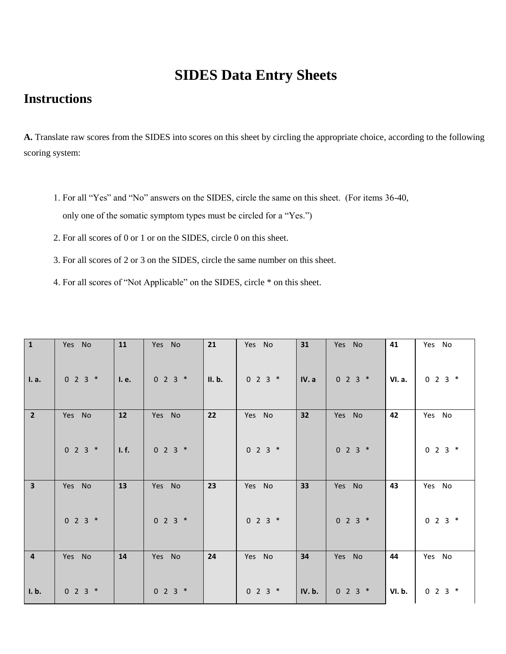# **SIDES Data Entry Sheets**

# **Instructions**

**A.** Translate raw scores from the SIDES into scores on this sheet by circling the appropriate choice, according to the following scoring system:

- 1. For all "Yes" and "No" answers on the SIDES, circle the same on this sheet. (For items 36-40, only one of the somatic symptom types must be circled for a "Yes.")
- 2. For all scores of 0 or 1 or on the SIDES, circle 0 on this sheet.
- 3. For all scores of 2 or 3 on the SIDES, circle the same number on this sheet.
- 4. For all scores of "Not Applicable" on the SIDES, circle \* on this sheet.

| ${\bf 1}$               | Yes No        | 11    | Yes No    | 21     | Yes No    | 31    | Yes No        | 41            | Yes No    |
|-------------------------|---------------|-------|-----------|--------|-----------|-------|---------------|---------------|-----------|
| I. a.                   | $0 2 3 *$     | I. e. | $0 2 3 *$ | II. b. | $0 2 3 *$ | IV.a  | $0 \t2 \t3$ * | VI. a.        | $0 2 3 *$ |
| $\overline{2}$          | Yes No        | 12    | Yes No    | 22     | Yes No    | 32    | Yes No        | 42            | Yes No    |
|                         | $0 2 3 *$     | I. f. | $0 2 3 *$ |        | $0 2 3 *$ |       | $0 2 3 *$     |               | $0 2 3 *$ |
| $\overline{\mathbf{3}}$ | Yes No        | 13    | Yes No    | 23     | Yes No    | 33    | Yes No        | 43            | Yes No    |
|                         | $0 2 3 *$     |       | $0 2 3 *$ |        | $0 2 3 *$ |       | $0 2 3 *$     |               | $0 2 3 *$ |
| $\overline{4}$          | Yes No        | 14    | Yes No    | 24     | Yes No    | 34    | Yes No        | 44            | Yes No    |
|                         |               |       |           |        |           |       |               |               |           |
| I. b.                   | $0 \t2 \t3$ * |       | $0 2 3 *$ |        | $0 2 3 *$ | IV.b. | $0 \t2 \t3$ * | <b>VI. b.</b> | $0 2 3 *$ |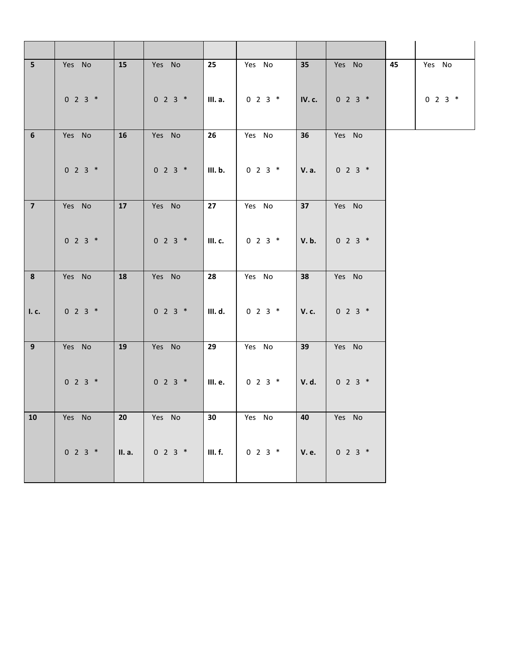| 5 <sup>1</sup> | Yes No    | 15     | Yes No    | 25      | Yes No        | 35            | Yes No        | 45 | Yes No    |
|----------------|-----------|--------|-----------|---------|---------------|---------------|---------------|----|-----------|
|                | $0 2 3 *$ |        | $0 2 3 *$ | III. a. | $0 2 3 *$     | <b>IV. c.</b> | $0 2 3 *$     |    | $0 2 3 *$ |
| $\bf 6$        | Yes No    | 16     | Yes No    | 26      | Yes No        | 36            | Yes No        |    |           |
|                | $0 2 3 *$ |        | $0 2 3 *$ | III. b. | $0 2 3 *$     | V. a.         | $0 2 3 *$     |    |           |
| $\overline{7}$ | Yes No    | 17     | Yes No    | 27      | Yes No        | 37            | Yes No        |    |           |
|                | $0 2 3 *$ |        | $0 2 3 *$ | III. c. | $0 2 3 *$     | V.b.          | $0 2 3 *$     |    |           |
| 8              | Yes No    | 18     | Yes No    | 28      | Yes No        | 38            | Yes No        |    |           |
| I. c.          | $0 2 3 *$ |        | $0 2 3 *$ | III. d. | $0 2 3 *$     | V. c.         | $0 2 3 *$     |    |           |
| 9              | Yes No    | 19     | Yes No    | 29      | Yes No        | 39            | Yes No        |    |           |
|                | $0 2 3 *$ |        | $0 2 3 *$ | III. e. | $0 2 3 *$     | V. d.         | $0 2 3 *$     |    |           |
| ${\bf 10}$     | Yes No    | 20     | Yes No    | 30      | Yes No        | 40            | Yes No        |    |           |
|                | $0 2 3 *$ | II. a. | $0 2 3 *$ | III. f. | $0 \t2 \t3$ * | <b>V. e.</b>  | $0 \t2 \t3$ * |    |           |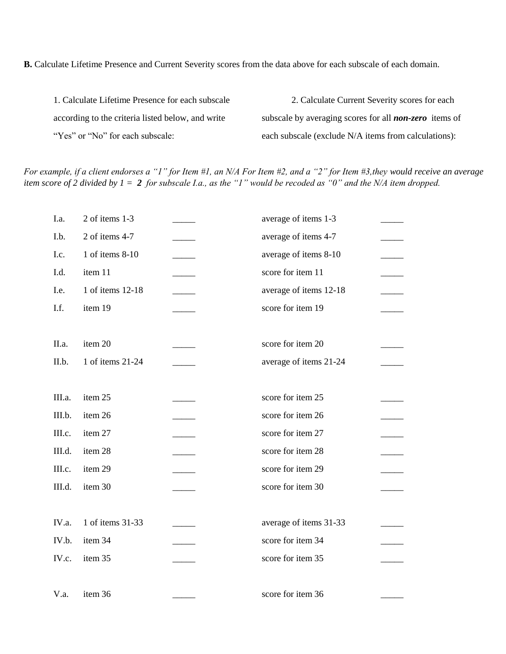**B.** Calculate Lifetime Presence and Current Severity scores from the data above for each subscale of each domain.

1. Calculate Lifetime Presence for each subscale 2. Calculate Current Severity scores for each according to the criteria listed below, and write subscale by averaging scores for all **non-zero** items of "Yes" or "No" for each subscale: each subscale (exclude N/A items from calculations):

*For example, if a client endorses a "1" for Item #1, an N/A For Item #2, and a "2" for Item #3,they would receive an average item score of 2 divided by 1 = 2 for subscale I.a., as the "1" would be recoded as "0" and the N/A item dropped.*

| I.a.   | 2 of items 1-3   | average of items 1-3   |  |
|--------|------------------|------------------------|--|
| I.b.   | 2 of items 4-7   | average of items 4-7   |  |
| I.c.   | 1 of items 8-10  | average of items 8-10  |  |
| I.d.   | item 11          | score for item 11      |  |
| I.e.   | 1 of items 12-18 | average of items 12-18 |  |
| I.f.   | item 19          | score for item 19      |  |
| II.a.  | item 20          | score for item 20      |  |
| II.b.  | 1 of items 21-24 | average of items 21-24 |  |
| III.a. | item 25          | score for item 25      |  |
| III.b. | item 26          | score for item 26      |  |
| III.c. | item 27          | score for item 27      |  |
| III.d. | item 28          | score for item 28      |  |
| III.c. | item 29          | score for item 29      |  |
| III.d. | item 30          | score for item 30      |  |
| IV.a.  | 1 of items 31-33 | average of items 31-33 |  |
| IV.b.  | item 34          | score for item 34      |  |
| IV.c.  | item 35          | score for item 35      |  |
| V.a.   | item 36          | score for item 36      |  |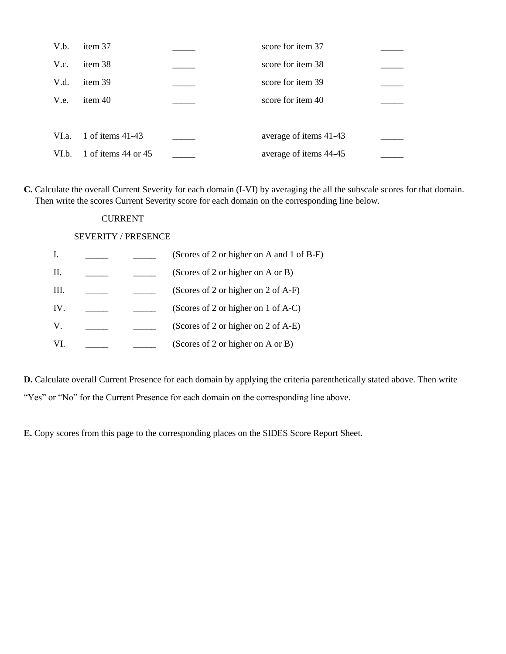| V.b.  | item 37             | score for item 37      |  |
|-------|---------------------|------------------------|--|
| V.c.  | item 38             | score for item 38      |  |
| V.d.  | item 39             | score for item 39      |  |
| V.e.  | item 40             | score for item 40      |  |
|       |                     |                        |  |
| VI.a. | 1 of items 41-43    | average of items 41-43 |  |
| VI.b. | 1 of items 44 or 45 | average of items 44-45 |  |

**C.** Calculate the overall Current Severity for each domain (I-VI) by averaging the all the subscale scores for that domain. Then write the scores Current Severity score for each domain on the corresponding line below.

### CURRENT

### SEVERITY / PRESENCE

|      |  | (Scores of 2 or higher on A and 1 of B-F) |
|------|--|-------------------------------------------|
| П.   |  | (Scores of 2 or higher on A or B)         |
| III. |  | (Scores of 2 or higher on 2 of A-F)       |
| IV.  |  | (Scores of 2 or higher on 1 of A-C)       |
| V.   |  | (Scores of 2 or higher on 2 of A-E)       |
| VI.  |  | (Scores of 2 or higher on A or B)         |
|      |  |                                           |

**D.** Calculate overall Current Presence for each domain by applying the criteria parenthetically stated above. Then write "Yes" or "No" for the Current Presence for each domain on the corresponding line above.

**E.** Copy scores from this page to the corresponding places on the SIDES Score Report Sheet.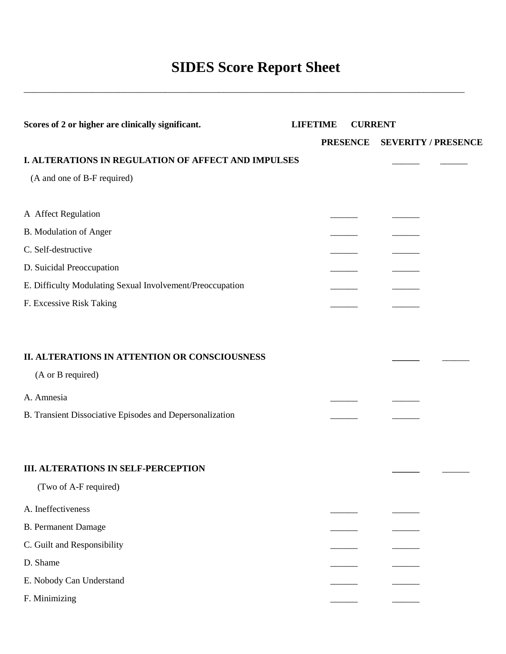# **SIDES Score Report Sheet**

\_\_\_\_\_\_\_\_\_\_\_\_\_\_\_\_\_\_\_\_\_\_\_\_\_\_\_\_\_\_\_\_\_\_\_\_\_\_\_\_\_\_\_\_\_\_\_\_\_\_\_\_\_\_\_\_\_\_\_\_\_\_\_\_\_\_\_\_\_\_\_\_\_\_\_\_\_\_\_\_\_\_\_\_\_\_\_\_\_\_\_\_\_\_\_\_\_

| Scores of 2 or higher are clinically significant.         | <b>LIFETIME</b><br><b>CURRENT</b> |                 |  |                            |
|-----------------------------------------------------------|-----------------------------------|-----------------|--|----------------------------|
|                                                           |                                   | <b>PRESENCE</b> |  | <b>SEVERITY / PRESENCE</b> |
| I. ALTERATIONS IN REGULATION OF AFFECT AND IMPULSES       |                                   |                 |  |                            |
| (A and one of B-F required)                               |                                   |                 |  |                            |
| A Affect Regulation                                       |                                   |                 |  |                            |
| B. Modulation of Anger                                    |                                   |                 |  |                            |
| C. Self-destructive                                       |                                   |                 |  |                            |
| D. Suicidal Preoccupation                                 |                                   |                 |  |                            |
| E. Difficulty Modulating Sexual Involvement/Preoccupation |                                   |                 |  |                            |
| F. Excessive Risk Taking                                  |                                   |                 |  |                            |
| II. ALTERATIONS IN ATTENTION OR CONSCIOUSNESS             |                                   |                 |  |                            |
| (A or B required)                                         |                                   |                 |  |                            |
| A. Amnesia                                                |                                   |                 |  |                            |
| B. Transient Dissociative Episodes and Depersonalization  |                                   |                 |  |                            |
| <b>III. ALTERATIONS IN SELF-PERCEPTION</b>                |                                   |                 |  |                            |
| (Two of A-F required)                                     |                                   |                 |  |                            |
| A. Ineffectiveness                                        |                                   |                 |  |                            |
| <b>B.</b> Permanent Damage                                |                                   |                 |  |                            |
| C. Guilt and Responsibility                               |                                   |                 |  |                            |
| D. Shame                                                  |                                   |                 |  |                            |
| E. Nobody Can Understand                                  |                                   |                 |  |                            |
| F. Minimizing                                             |                                   |                 |  |                            |